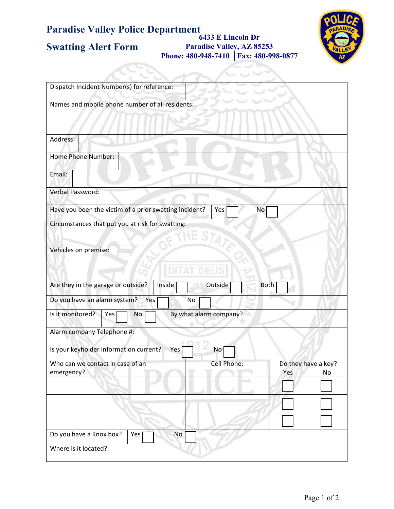## **Paradise Valley Police Department Swatting Alert Form 6433 E Lincoln Dr Paradise Valley, AZ 85253 Phone: 480-948-7410 │Fax: 480-998-0877**

N LA KUN

×.



| Dispatch Incident Number(s) for reference:                             |
|------------------------------------------------------------------------|
| Names and mobile phone number of all residents:                        |
| Address:                                                               |
| Home Phone Number:                                                     |
| Email:                                                                 |
| Verbal Password:                                                       |
| Have you been the victim of a prior swatting incident?<br>Yes<br>No    |
| Circumstances that put you at risk for swatting:<br>HE STA             |
| Vehicles on premise:                                                   |
| Are they in the garage or outside?<br>Outside<br>Inside<br><b>Both</b> |
| Do you have an alarm system?<br>Yes<br>No                              |
| Is it monitored?<br>By what alarm company?<br>Yes<br>No                |
| Alarm company Telephone #:                                             |
| Is your keyholder information current?<br>Yes<br>No                    |
| Do they have a key?<br>Who can we contact in case of an<br>Cell Phone: |
| emergency?<br>Yes<br>No                                                |
|                                                                        |
|                                                                        |
|                                                                        |
| Do you have a Knox box?<br>No<br>Yes                                   |
| Where is it located?                                                   |